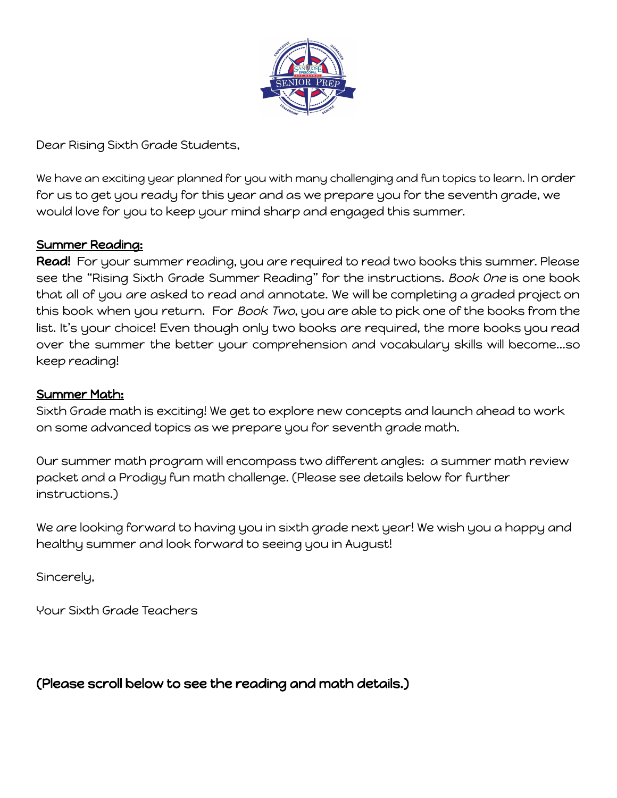

Dear Rising Sixth Grade Students,

We have an exciting year planned for you with many challenging and fun topics to learn. In order for us to get you ready for this year and as we prepare you for the seventh grade, we would love for you to keep your mind sharp and engaged this summer.

#### Summer Reading:

Read! For your summer reading, you are required to read two books this summer. Please see the "Rising Sixth Grade Summer Reading" for the instructions. Book One is one book that all of you are asked to read and annotate. We will be completing a graded project on this book when you return. For Book Two, you are able to pick one of the books from the list. It's your choice! Even though only two books are required, the more books you read over the summer the better your comprehension and vocabulary skills will become...so keep reading!

#### Summer Math:

Sixth Grade math is exciting! We get to explore new concepts and launch ahead to work on some advanced topics as we prepare you for seventh grade math.

Our summer math program will encompass two different angles: a summer math review packet and a Prodigy fun math challenge. (Please see details below for further instructions.)

We are looking forward to having you in sixth grade next year! We wish you a happy and healthy summer and look forward to seeing you in August!

Sincerely,

Your Sixth Grade Teachers

(Please scroll below to see the reading and math details.)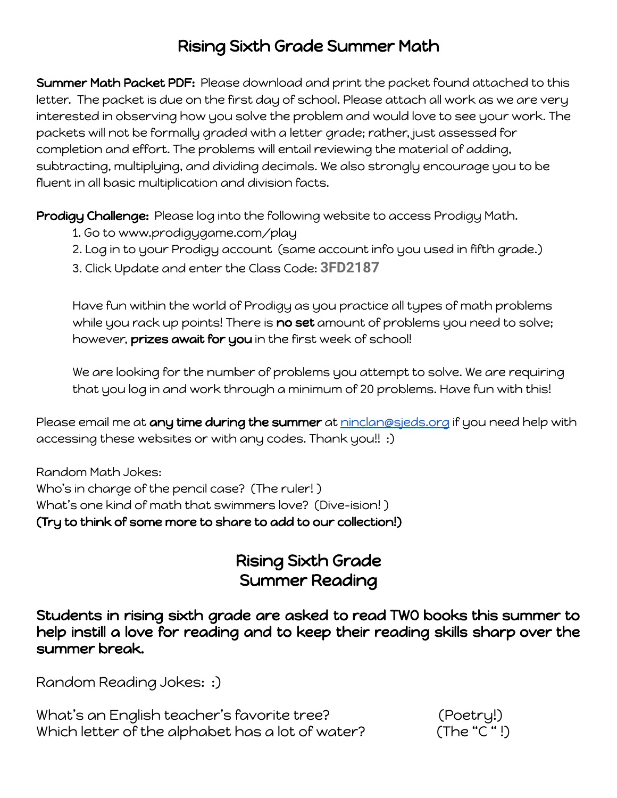### Rising Sixth Grade Summer Math

Summer Math Packet PDF: Please download and print the packet found attached to this letter. The packet is due on the first day of school. Please attach all work as we are very interested in observing how you solve the problem and would love to see your work. The packets will not be formally graded with a letter grade; rather, just assessed for completion and effort. The problems will entail reviewing the material of adding, subtracting, multiplying, and dividing decimals. We also strongly encourage you to be fluent in all basic multiplication and division facts.

Prodigy Challenge: Please log into the following website to access Prodigy Math.

- 1. Go to www.prodigygame.com/play
- 2. Log in to your Prodigy account (same account info you used in fifth grade.)
- 3. Click Update and enter the Class Code: **3FD2187**

Have fun within the world of Prodigy as you practice all types of math problems while you rack up points! There is **no set** amount of problems you need to solve; however, prizes await for you in the first week of school!

We are looking for the number of problems you attempt to solve. We are requiring that you log in and work through a minimum of 20 problems. Have fun with this!

Please email me at any time during the summer at [ninclan@sjeds.org](mailto:ninclan@sjeds.org) if you need help with accessing these websites or with any codes. Thank you!! :)

Random Math Jokes: Who's in charge of the pencil case? (The ruler! ) What's one kind of math that swimmers love? (Dive-ision! ) (Try to think of some more to share to add to our collection!)

### Rising Sixth Grade Summer Reading

Students in rising sixth grade are asked to read TWO books this summer to help instill a love for reading and to keep their reading skills sharp over the summer break.

Random Reading Jokes: :)

What's an English teacher's favorite tree? (Poetry!) Which letter of the alphabet has a lot of water? (The "C"!)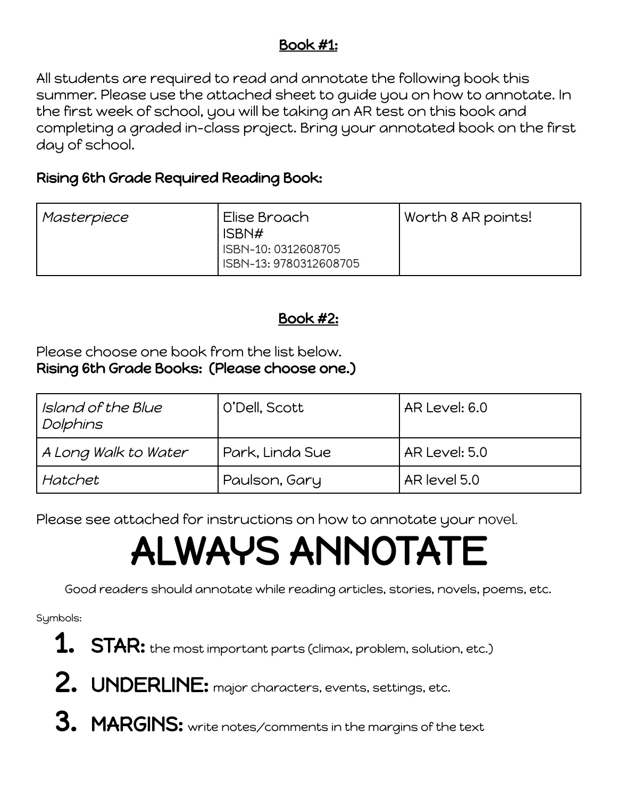### Book #1:

All students are required to read and annotate the following book this summer. Please use the attached sheet to guide you on how to annotate. In the first week of school, you will be taking an AR test on this book and completing a graded in-class project. Bring your annotated book on the first day of school.

### Rising 6th Grade Required Reading Book:

| Masterpiece | . Elise Broach                                | Worth 8 AR points! |  |  |
|-------------|-----------------------------------------------|--------------------|--|--|
|             | ISBN#                                         |                    |  |  |
|             | ISBN-10: 0312608705<br>ISBN-13: 9780312608705 |                    |  |  |
|             |                                               |                    |  |  |

### Book #2:

Please choose one book from the list below. Rising 6th Grade Books: (Please choose one.)

| Island of the Blue<br>Dolphins | O'Dell, Scott   | AR Level: 6.0   |  |  |
|--------------------------------|-----------------|-----------------|--|--|
| A Long Walk to Water           | Park, Linda Sue | l AR Level: 5.0 |  |  |
| Hatchet                        | Paulson, Gary   | AR level 5.0    |  |  |

Please see attached for instructions on how to annotate your novel.

# ALWAYS ANNOTATE

Good readers should annotate while reading articles, stories, novels, poems, etc.

Symbols:

- $\, \boldsymbol{1.} \quad \text{STAR: the most important parts (climax, problem, solution, etc.)}$
- 2. UNDERLINE: major characters, events, settings, etc.
- **3. MARGINS:** write notes/comments in the margins of the text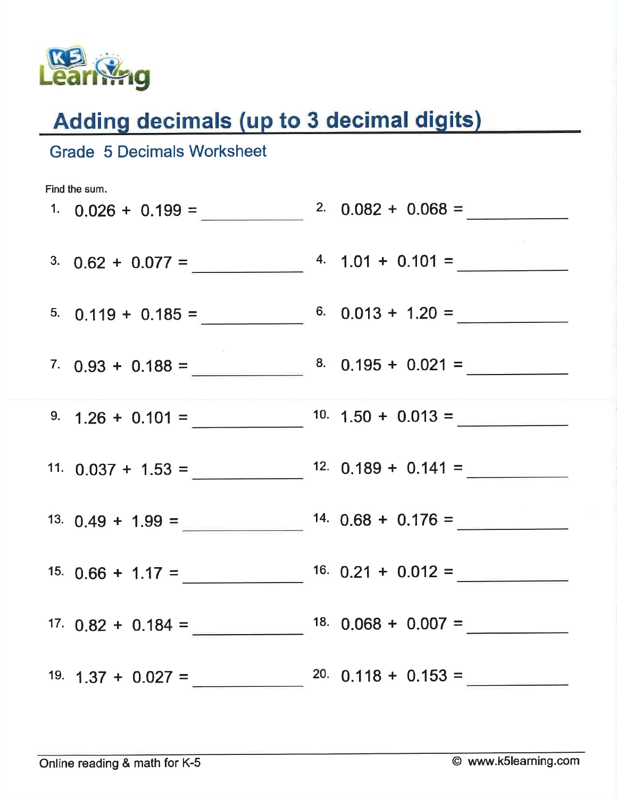

**Grade 5 Decimals Worksheet** 

### Adding decimals (up to 3 decimal digits)

# Find the sum. 1.  $0.026 + 0.199 =$  2.  $0.082 + 0.068 =$ 3.  $0.62 + 0.077 =$   $4. 1.01 + 0.101 =$ 5.  $0.119 + 0.185 =$  6.  $0.013 + 1.20 =$ 9.  $1.26 + 0.101 = 10.150 + 0.013 = 10$ 13.  $0.49 + 1.99 =$   $14.0.68 + 0.176 =$ 15.  $0.66 + 1.17 =$   $16.0.21 + 0.012 =$ 19.  $1.37 + 0.027 =$  20.  $0.118 + 0.153 =$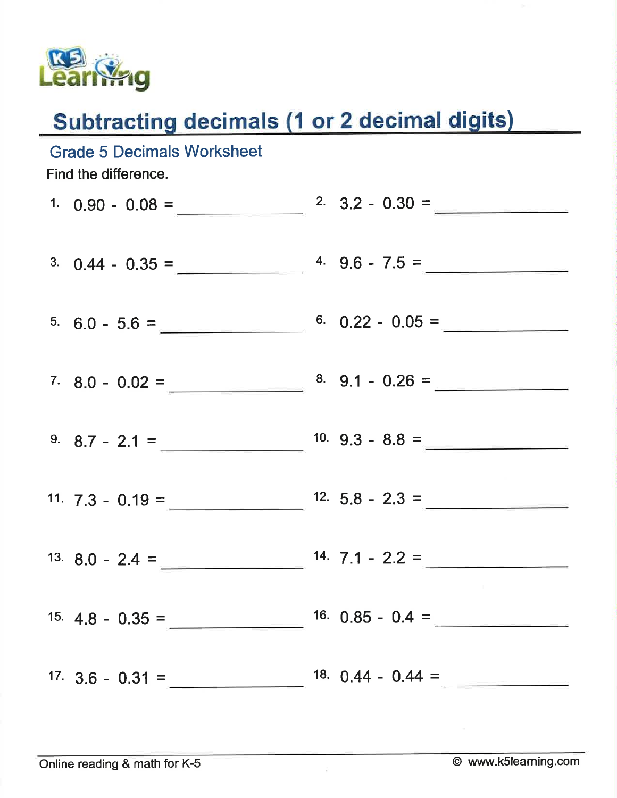

## **Subtracting decimals (1 or 2 decimal digits)**

| <b>Grade 5 Decimals Worksheet</b><br>Find the difference. |                     |
|-----------------------------------------------------------|---------------------|
|                                                           |                     |
| 3. $0.44 - 0.35 =$ 4. $9.6 - 7.5 =$                       |                     |
| $5.60 - 5.6 =$ 6.0 $-1.60$ 6.0.22 - 0.05 =                |                     |
| 7. 8.0 - 0.02 = $\frac{8.9.1 - 0.26}{10.26}$              |                     |
| 9. $8.7 - 2.1 =$ $10.9.3 - 8.8 =$                         |                     |
| 11. $7.3 - 0.19 =$ $12.5.8 - 2.3 =$                       |                     |
| 13. 8.0 - 2.4 = $14.7.1 - 2.2 =$                          |                     |
| $15. \, 4.8 - 0.35 =$                                     | 16. $0.85 - 0.4 =$  |
| 17. $3.6 - 0.31 =$                                        | 18. $0.44 - 0.44 =$ |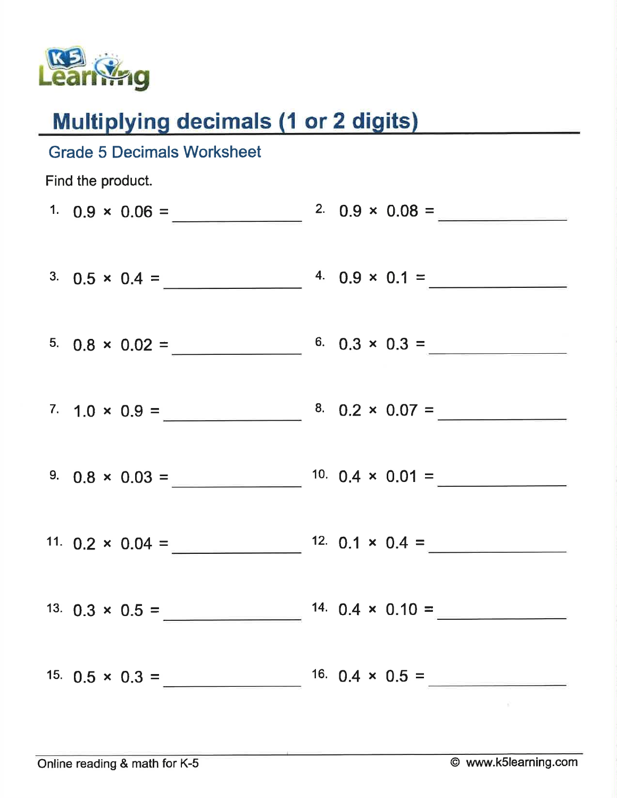

## **Multiplying decimals (1 or 2 digits)**

| <b>Grade 5 Decimals Worksheet</b>              |                                               |
|------------------------------------------------|-----------------------------------------------|
| Find the product.                              |                                               |
|                                                | 1. $0.9 \times 0.06 =$ 2. $0.9 \times 0.08 =$ |
|                                                | 3. $0.5 \times 0.4 =$ 4. $0.9 \times 0.1 =$   |
|                                                | 5. $0.8 \times 0.02 =$ 6. $0.3 \times 0.3 =$  |
|                                                | 7. $1.0 \times 0.9 =$ $8.0.2 \times 0.07 =$   |
|                                                |                                               |
| 11. $0.2 \times 0.04 =$ 12. $0.1 \times 0.4 =$ |                                               |
| 13. $0.3 \times 0.5 =$                         | 14. $0.4 \times 0.10 =$                       |
| 15. $0.5 \times 0.3 =$                         | 16. $0.4 \times 0.5 =$                        |